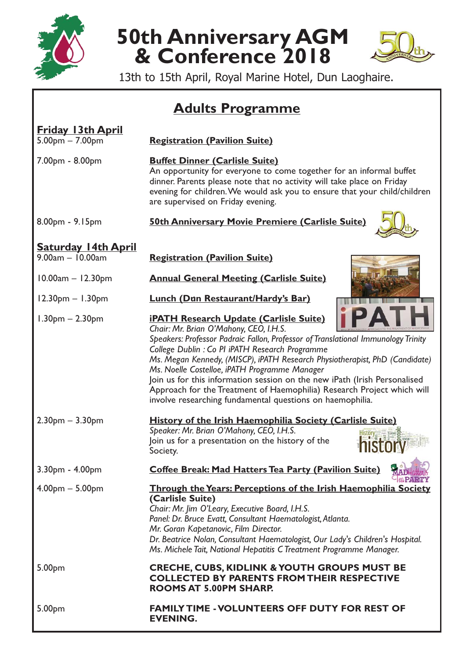

## **50th Anniversary AGM & Conference 2018**



13th to 15th April, Royal Marine Hotel, Dun Laoghaire.

| <b>Adults Programme</b>                          |                                                                                                                                                                                                                                                                                                                                                                                                                                                                                                                                                                                    |  |
|--------------------------------------------------|------------------------------------------------------------------------------------------------------------------------------------------------------------------------------------------------------------------------------------------------------------------------------------------------------------------------------------------------------------------------------------------------------------------------------------------------------------------------------------------------------------------------------------------------------------------------------------|--|
| Friday 13th April<br>$5.00pm - 7.00pm$           | <b>Registration (Pavilion Suite)</b>                                                                                                                                                                                                                                                                                                                                                                                                                                                                                                                                               |  |
| 7.00pm - 8.00pm                                  | <b>Buffet Dinner (Carlisle Suite)</b><br>An opportunity for everyone to come together for an informal buffet<br>dinner. Parents please note that no activity will take place on Friday<br>evening for children. We would ask you to ensure that your child/children<br>are supervised on Friday evening.                                                                                                                                                                                                                                                                           |  |
| 8.00pm - 9.15pm                                  | <b>50th Anniversary Movie Premiere (Carlisle Suite)</b>                                                                                                                                                                                                                                                                                                                                                                                                                                                                                                                            |  |
| <b>Saturday 14th April</b><br>$9.00am - 10.00am$ | <b>Registration (Pavilion Suite)</b>                                                                                                                                                                                                                                                                                                                                                                                                                                                                                                                                               |  |
| $10.00am - 12.30pm$                              | <b>Annual General Meeting (Carlisle Suite)</b>                                                                                                                                                                                                                                                                                                                                                                                                                                                                                                                                     |  |
| $12.30pm - 1.30pm$                               | <b>Lunch (Dun Restaurant/Hardy's Bar)</b>                                                                                                                                                                                                                                                                                                                                                                                                                                                                                                                                          |  |
| $1.30pm - 2.30pm$                                | <b>iPATH Research Update (Carlisle Suite)</b><br>Chair: Mr. Brian O'Mahony, CEO, I.H.S.<br>Speakers: Professor Padraic Fallon, Professor of Translational Immunology Trinity<br>College Dublin: Co PI iPATH Research Programme<br>Ms. Megan Kennedy, (MISCP), iPATH Research Physiotherapist, PhD (Candidate)<br>Ms. Noelle Costelloe, iPATH Programme Manager<br>Join us for this information session on the new iPath (Irish Personalised<br>Approach for the Treatment of Haemophilia) Research Project which will<br>involve researching fundamental questions on haemophilia. |  |
| $2.30pm - 3.30pm$                                | <b>History of the Irish Haemophilia Society (Carlisle Suite)</b><br>Speaker: Mr. Brian O'Mahony, CEO, I.H.S.<br>Join us for a presentation on the history of the<br>Society.                                                                                                                                                                                                                                                                                                                                                                                                       |  |
| 3.30pm - 4.00pm                                  | <b>Coffee Break: Mad Hatters Tea Party (Pavilion Suite)</b>                                                                                                                                                                                                                                                                                                                                                                                                                                                                                                                        |  |
| $4.00pm - 5.00pm$                                | <b>Through the Years: Perceptions of the Irish Haemophilia Society</b><br>(Carlisle Suite)<br>Chair: Mr. Jim O'Leary, Executive Board, I.H.S.<br>Panel: Dr. Bruce Evatt, Consultant Haematologist, Atlanta.<br>Mr. Goran Kapetanovic, Film Director.<br>Dr. Beatrice Nolan, Consultant Haematologist, Our Lady's Children's Hospital.<br>Ms. Michele Tait, National Hepatitis C Treatment Programme Manager.                                                                                                                                                                       |  |
| 5.00pm                                           | <b>CRECHE, CUBS, KIDLINK &amp; YOUTH GROUPS MUST BE</b><br><b>COLLECTED BY PARENTS FROM THEIR RESPECTIVE</b><br><b>ROOMS AT 5.00PM SHARP.</b>                                                                                                                                                                                                                                                                                                                                                                                                                                      |  |
| 5.00pm                                           | <b>FAMILY TIME - VOLUNTEERS OFF DUTY FOR REST OF</b><br><b>EVENING.</b>                                                                                                                                                                                                                                                                                                                                                                                                                                                                                                            |  |